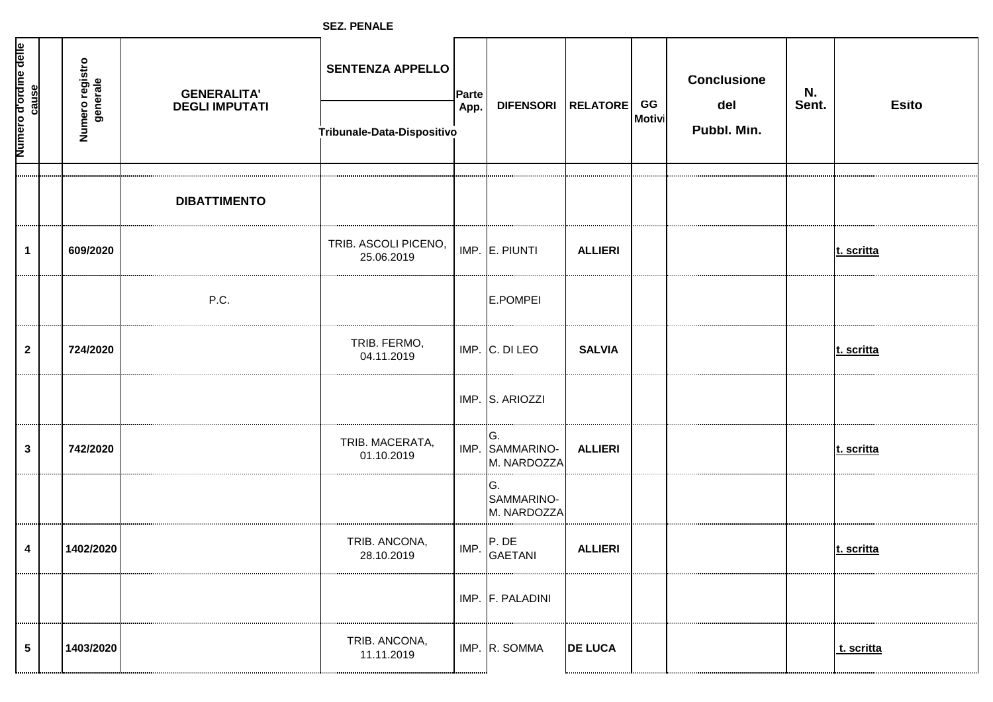**SEZ. PENALE**

| Numero d'ordine delle<br>cause | Numero registro<br>generale | <b>GENERALITA'</b><br><b>DEGLI IMPUTATI</b> | <b>SENTENZA APPELLO</b><br>Tribunale-Data-Dispositivo | Parte<br>App. | DIFENSORI RELATORE                    |                | GG<br><b>Motivi</b> | <b>Conclusione</b><br>del<br>Pubbl. Min. | N.<br>Sent. | <b>Esito</b> |
|--------------------------------|-----------------------------|---------------------------------------------|-------------------------------------------------------|---------------|---------------------------------------|----------------|---------------------|------------------------------------------|-------------|--------------|
|                                |                             |                                             |                                                       |               |                                       |                |                     |                                          |             |              |
|                                |                             | <b>DIBATTIMENTO</b>                         |                                                       |               |                                       |                |                     |                                          |             |              |
| $\mathbf{1}$                   | 609/2020                    |                                             | TRIB. ASCOLI PICENO,<br>25.06.2019                    |               | IMP. E. PIUNTI                        | <b>ALLIERI</b> |                     |                                          |             | t. scritta   |
|                                |                             | P.C.                                        |                                                       |               | E.POMPEI                              |                |                     |                                          |             |              |
| $\mathbf{2}$                   | 724/2020                    |                                             | TRIB. FERMO,<br>04.11.2019                            |               | IMP. C. DI LEO                        | <b>SALVIA</b>  |                     |                                          |             | t. scritta   |
|                                |                             |                                             |                                                       |               | IMP. S. ARIOZZI                       |                |                     |                                          |             |              |
| $\mathbf 3$                    | 742/2020                    |                                             | TRIB. MACERATA,<br>01.10.2019                         |               | IG.<br>IMP. SAMMARINO-<br>M. NARDOZZA | <b>ALLIERI</b> |                     |                                          |             | t. scritta   |
|                                |                             |                                             |                                                       |               | IG.<br>SAMMARINO-<br>M. NARDOZZA      |                |                     |                                          |             |              |
| 4                              | 1402/2020                   |                                             | TRIB. ANCONA,<br>28.10.2019                           | IMP.          | P. DE<br>GAETANI                      | <b>ALLIERI</b> |                     |                                          |             | t. scritta   |
|                                |                             |                                             |                                                       |               | IMP. F. PALADINI                      |                |                     |                                          |             |              |
| $5\phantom{.0}$                | 1403/2020                   |                                             | TRIB. ANCONA,<br>11.11.2019                           |               | IMP. R. SOMMA                         | <b>DE LUCA</b> |                     |                                          |             | t. scritta   |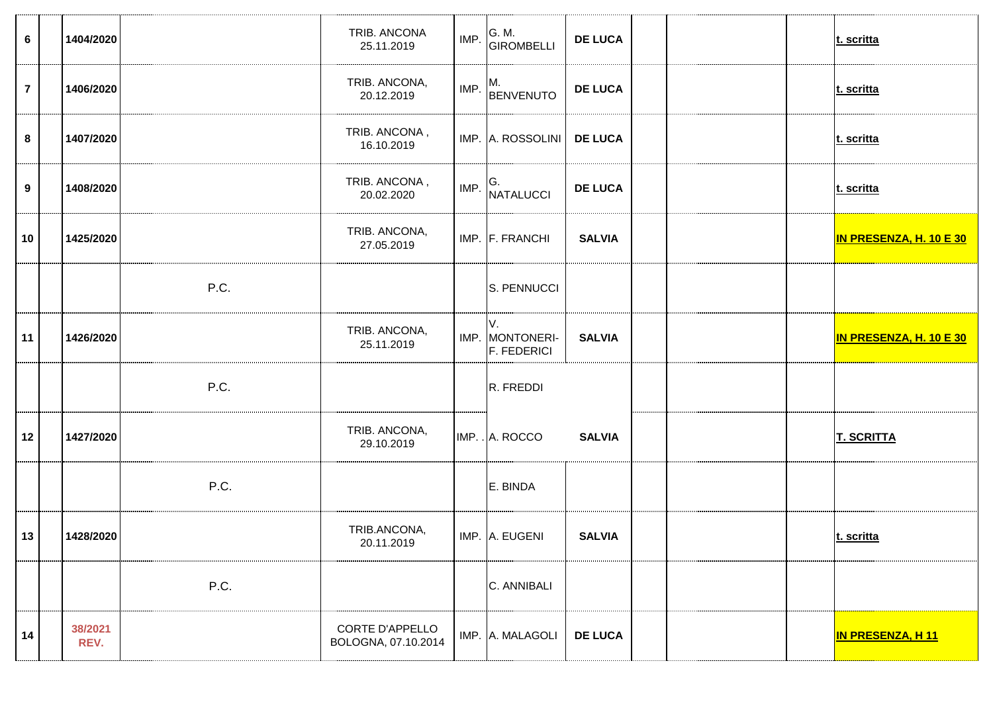| $6\phantom{1}$   | 1404/2020       |      | TRIB. ANCONA<br>25.11.2019             | IMP. | G. M.<br>GIROMBELLI                         | <b>DE LUCA</b> |  | t. scritta              |
|------------------|-----------------|------|----------------------------------------|------|---------------------------------------------|----------------|--|-------------------------|
| $\overline{7}$   | 1406/2020       |      | TRIB. ANCONA,<br>20.12.2019            | IMP. | M.<br>BENVENUTO                             | <b>DE LUCA</b> |  | t. scritta              |
| 8                | 1407/2020       |      | TRIB. ANCONA,<br>16.10.2019            |      | IMP. A. ROSSOLINI                           | <b>DE LUCA</b> |  | t. scritta              |
| $\boldsymbol{9}$ | 1408/2020       |      | TRIB. ANCONA,<br>20.02.2020            | IMP. | G.<br>NATALUCCI                             | <b>DE LUCA</b> |  | t. scritta              |
| 10               | 1425/2020       |      | TRIB. ANCONA,<br>27.05.2019            |      | IMP. F. FRANCHI                             | <b>SALVIA</b>  |  | IN PRESENZA, H. 10 E 30 |
|                  |                 | P.C. |                                        |      | S. PENNUCCI                                 |                |  |                         |
| 11               | 1426/2020       |      | TRIB. ANCONA,<br>25.11.2019            |      | V.<br>IMP. MONTONERI-<br><b>F. FEDERICI</b> | <b>SALVIA</b>  |  | IN PRESENZA, H. 10 E 30 |
|                  |                 | P.C. |                                        |      | R. FREDDI                                   |                |  |                         |
| 12               | 1427/2020       |      | TRIB. ANCONA,<br>29.10.2019            |      | IMP. . A. ROCCO                             | <b>SALVIA</b>  |  | <b>T. SCRITTA</b>       |
|                  |                 | P.C. |                                        |      | E. BINDA                                    |                |  |                         |
| 13               | 1428/2020       |      | TRIB.ANCONA,<br>20.11.2019             |      | IMP. A. EUGENI                              | <b>SALVIA</b>  |  | t. scritta              |
|                  |                 | P.C. |                                        |      | C. ANNIBALI                                 |                |  |                         |
| 14               | 38/2021<br>REV. |      | CORTE D'APPELLO<br>BOLOGNA, 07.10.2014 |      | IMP. A. MALAGOLI                            | <b>DE LUCA</b> |  | <b>IN PRESENZA, H11</b> |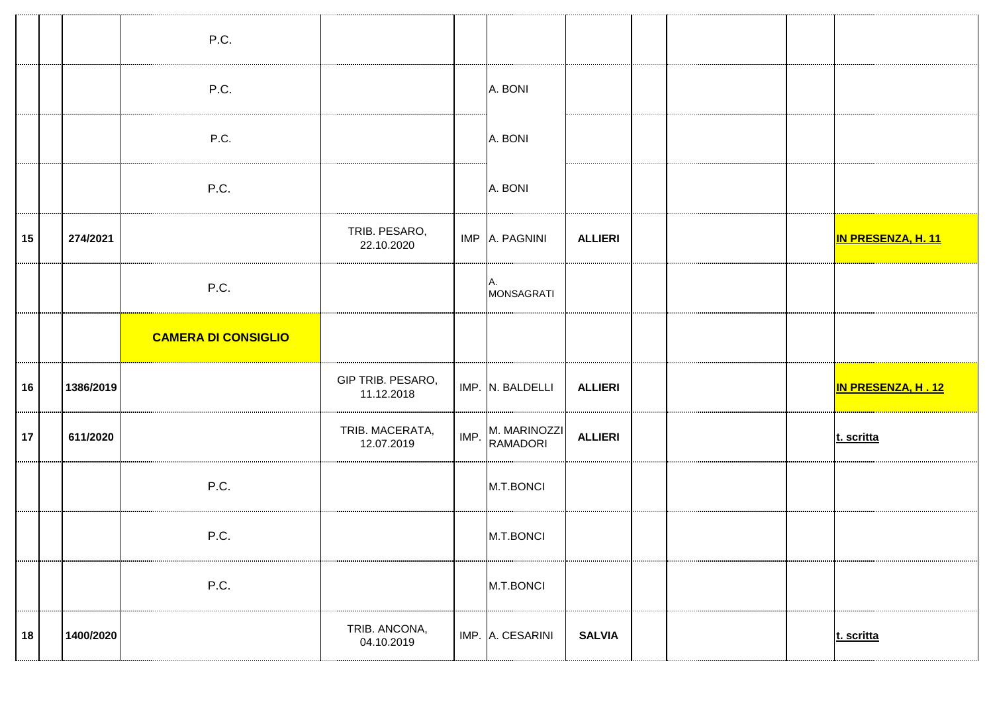|    |           | P.C.                       |                                 |      |                                 |                |  |                           |
|----|-----------|----------------------------|---------------------------------|------|---------------------------------|----------------|--|---------------------------|
|    |           | P.C.                       |                                 |      | A. BONI                         |                |  |                           |
|    |           | P.C.                       |                                 |      | A. BONI                         |                |  |                           |
|    |           | P.C.                       |                                 |      | A. BONI                         |                |  |                           |
| 15 | 274/2021  |                            | TRIB. PESARO,<br>22.10.2020     |      | IMP A. PAGNINI                  | <b>ALLIERI</b> |  | <b>IN PRESENZA, H. 11</b> |
|    |           | P.C.                       |                                 |      | Α.<br><b>MONSAGRATI</b>         |                |  |                           |
|    |           |                            |                                 |      |                                 |                |  |                           |
|    |           | <b>CAMERA DI CONSIGLIO</b> |                                 |      |                                 |                |  |                           |
| 16 | 1386/2019 |                            | GIP TRIB. PESARO,<br>11.12.2018 |      | IMP. N. BALDELLI                | <b>ALLIERI</b> |  | IN PRESENZA, H.12         |
| 17 | 611/2020  |                            | TRIB. MACERATA,<br>12.07.2019   | IMP. | M. MARINOZZI<br><b>RAMADORI</b> | <b>ALLIERI</b> |  | t. scritta                |
|    |           | P.C.                       |                                 |      | M.T.BONCI                       |                |  |                           |
|    |           | P.C.                       |                                 |      | M.T.BONCI                       |                |  |                           |
|    |           | P.C.                       |                                 |      | M.T.BONCI                       |                |  |                           |